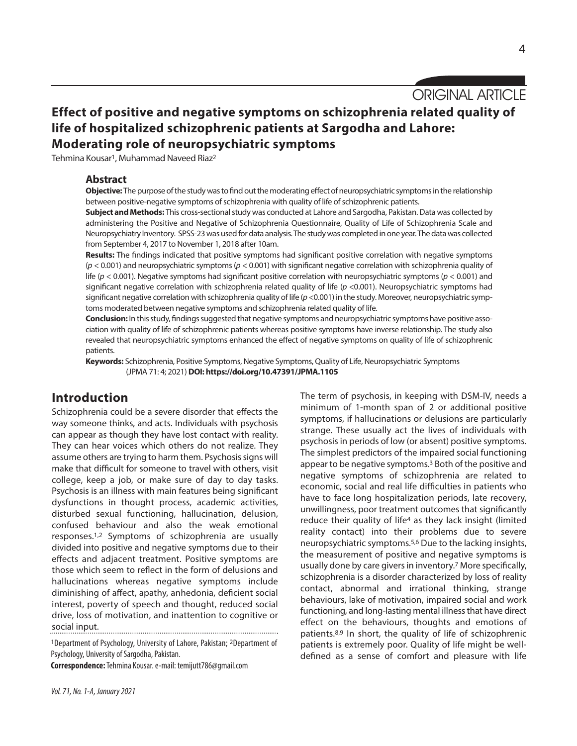ORIGINAL ARTICLE

# **Effect of positive and negative symptoms on schizophrenia related quality of life of hospitalized schizophrenic patients at Sargodha and Lahore: Moderating role of neuropsychiatric symptoms**

Tehmina Kousar<sup>1</sup>, Muhammad Naveed Riaz<sup>2</sup>

## **Abstract**

**Objective:** The purpose of the study was to find out the moderating effect of neuropsychiatric symptoms in the relationship between positive-negative symptoms of schizophrenia with quality of life of schizophrenic patients.

**Subject and Methods:** This cross-sectional study was conducted at Lahore and Sargodha, Pakistan. Data was collected by administering the Positive and Negative of Schizophrenia Questionnaire, Quality of Life of Schizophrenia Scale and Neuropsychiatry Inventory. SPSS-23 was used for data analysis. The study was completed in one year. The data was collected from September 4, 2017 to November 1, 2018 after 10am.

**Results:** The findings indicated that positive symptoms had significant positive correlation with negative symptoms (*p* < 0.001) and neuropsychiatric symptoms (*p* < 0.001) with significant negative correlation with schizophrenia quality of life (*p* < 0.001). Negative symptoms had significant positive correlation with neuropsychiatric symptoms (*p* < 0.001) and significant negative correlation with schizophrenia related quality of life ( $p$  <0.001). Neuropsychiatric symptoms had significant negative correlation with schizophrenia quality of life ( $p$  <0.001) in the study. Moreover, neuropsychiatric symptoms moderated between negative symptoms and schizophrenia related quality of life.

**Conclusion:** In this study, findings suggested that negative symptoms and neuropsychiatric symptoms have positive association with quality of life of schizophrenic patients whereas positive symptoms have inverse relationship. The study also revealed that neuropsychiatric symptoms enhanced the effect of negative symptoms on quality of life of schizophrenic patients.

**Keywords:** Schizophrenia, Positive Symptoms, Negative Symptoms,Quality of Life, Neuropsychiatric Symptoms (JPMA 71: 4; 2021)**DOI: https://doi.org/10.47391/JPMA.1105**

# **Introduction**

Schizophrenia could be a severe disorder that effects the way someone thinks, and acts. Individuals with psychosis can appear as though they have lost contact with reality. They can hear voices which others do not realize. They assume others are trying to harm them. Psychosis signs will make that difficult for someone to travel with others, visit college, keep a job, or make sure of day to day tasks. Psychosis is an illness with main features being significant dysfunctions in thought process, academic activities, disturbed sexual functioning, hallucination, delusion, confused behaviour and also the weak emotional responses.1,2 Symptoms of schizophrenia are usually divided into positive and negative symptoms due to their effects and adjacent treatment. Positive symptoms are those which seem to reflect in the form of delusions and hallucinations whereas negative symptoms include diminishing of affect, apathy, anhedonia, deficient social interest, poverty of speech and thought, reduced social drive, loss of motivation, and inattention to cognitive or social input.

<sup>1</sup>Department of Psychology, University of Lahore, Pakistan; <sup>2</sup>Department of Psychology, University of Sargodha, Pakistan.

**Correspondence:**Tehmina Kousar.e-mail: temijutt786@gmail.com

The term of psychosis, in keeping with DSM-IV, needs a minimum of 1-month span of 2 or additional positive symptoms, if hallucinations or delusions are particularly strange. These usually act the lives of individuals with psychosis in periods of low (or absent) positive symptoms. The simplest predictors of the impaired social functioning appear to be negative symptoms. <sup>3</sup> Both of the positive and negative symptoms of schizophrenia are related to economic, social and real life difficulties in patients who have to face long hospitalization periods, late recovery, unwillingness, poor treatment outcomes that significantly reduce their quality of life<sup>4</sup> as they lack insight (limited reality contact) into their problems due to severe neuropsychiatric symptoms. 5,6 Due to the lacking insights, the measurement of positive and negative symptoms is usually done by care givers in inventory.<sup>7</sup> More specifically, schizophrenia is a disorder characterized by loss of reality contact, abnormal and irrational thinking, strange behaviours, lake of motivation, impaired social and work functioning, and long-lasting mental illness that have direct effect on the behaviours, thoughts and emotions of patients.8,9 In short, the quality of life of schizophrenic patients is extremely poor. Quality of life might be welldefined as a sense of comfort and pleasure with life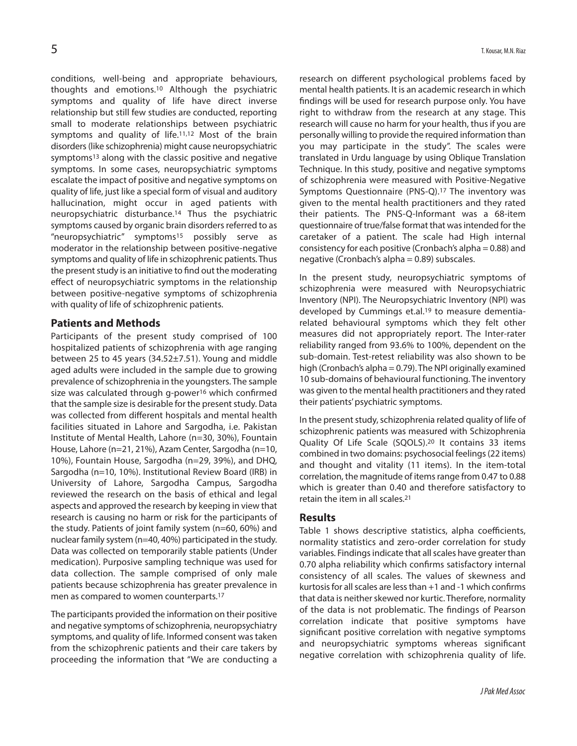conditions, well-being and appropriate behaviours, thoughts and emotions.10 Although the psychiatric symptoms and quality of life have direct inverse relationship but still few studies are conducted, reporting small to moderate relationships between psychiatric symptoms and quality of life.11,12 Most of the brain disorders(like schizophrenia) might cause neuropsychiatric symptoms<sup>13</sup> along with the classic positive and negative symptoms. In some cases, neuropsychiatric symptoms escalate the impact of positive and negative symptoms on quality of life, just like a special form of visual and auditory hallucination, might occur in aged patients with neuropsychiatric disturbance.14 Thus the psychiatric symptoms caused by organic brain disorders referred to as "neuropsychiatric" symptoms15 possibly serve as moderator in the relationship between positive-negative symptoms and quality of life in schizophrenic patients. Thus the present study is an initiative to find out the moderating effect of neuropsychiatric symptoms in the relationship between positive-negative symptoms of schizophrenia with quality of life of schizophrenic patients.

## **Patients and Methods**

Participants of the present study comprised of 100 hospitalized patients of schizophrenia with age ranging between 25 to 45 years (34.52±7.51). Young and middle aged adults were included in the sample due to growing prevalence of schizophrenia in the youngsters. The sample size was calculated through g-power<sup>16</sup> which confirmed that the sample size is desirable for the present study. Data was collected from different hospitals and mental health facilities situated in Lahore and Sargodha, i.e. Pakistan Institute of Mental Health, Lahore (n=30, 30%), Fountain House, Lahore (n=21, 21%), Azam Center, Sargodha (n=10, 10%), Fountain House, Sargodha (n=29, 39%), and DHQ, Sargodha (n=10, 10%). Institutional Review Board (IRB) in University of Lahore, Sargodha Campus, Sargodha reviewed the research on the basis of ethical and legal aspects and approved the research by keeping in view that research is causing no harm or risk for the participants of the study. Patients of joint family system (n=60, 60%) and nuclear family system (n=40, 40%) participated in the study. Data was collected on temporarily stable patients (Under medication). Purposive sampling technique was used for data collection. The sample comprised of only male patients because schizophrenia has greater prevalence in men as compared to women counterparts. 17

The participants provided the information on their positive and negative symptoms of schizophrenia, neuropsychiatry symptoms, and quality of life. Informed consent was taken from the schizophrenic patients and their care takers by proceeding the information that "We are conducting a research on different psychological problems faced by mental health patients. It is an academic research in which findings will be used for research purpose only. You have right to withdraw from the research at any stage. This research will cause no harm for your health, thus if you are personally willing to provide the required information than you may participate in the study". The scales were translated in Urdu language by using Oblique Translation Technique. In this study, positive and negative symptoms of schizophrenia were measured with Positive-Negative Symptoms Questionnaire (PNS-Q).17 The inventory was given to the mental health practitioners and they rated their patients. The PNS-Q-Informant was a 68-item questionnaire of true/false format that was intended for the caretaker of a patient. The scale had High internal consistency for each positive (Cronbach's alpha = 0.88) and negative (Cronbach's alpha = 0.89) subscales.

In the present study, neuropsychiatric symptoms of schizophrenia were measured with Neuropsychiatric Inventory (NPI). The Neuropsychiatric Inventory (NPI) was developed by Cummings et.al.<sup>19</sup> to measure dementiarelated behavioural symptoms which they felt other measures did not appropriately report. The Inter-rater reliability ranged from 93.6% to 100%, dependent on the sub-domain. Test-retest reliability was also shown to be high (Cronbach's alpha = 0.79). The NPI originally examined 10 sub-domains of behavioural functioning. The inventory was given to the mental health practitioners and they rated their patients'psychiatric symptoms.

In the present study, schizophrenia related quality of life of schizophrenic patients was measured with Schizophrenia Quality Of Life Scale (SQOLS).20 It contains 33 items combined in two domains: psychosocial feelings(22 items) and thought and vitality (11 items). In the item-total correlation, the magnitude of items range from 0.47 to 0.88 which is greater than 0.40 and therefore satisfactory to retain the item in all scales. 21

### **Results**

Table 1 shows descriptive statistics, alpha coefficients, normality statistics and zero-order correlation for study variables. Findings indicate that all scales have greater than 0.70 alpha reliability which confirms satisfactory internal consistency of all scales. The values of skewness and kurtosis for all scales are less than  $+1$  and  $-1$  which confirms that data is neither skewed nor kurtic. Therefore, normality of the data is not problematic. The findings of Pearson correlation indicate that positive symptoms have significant positive correlation with negative symptoms and neuropsychiatric symptoms whereas significant negative correlation with schizophrenia quality of life.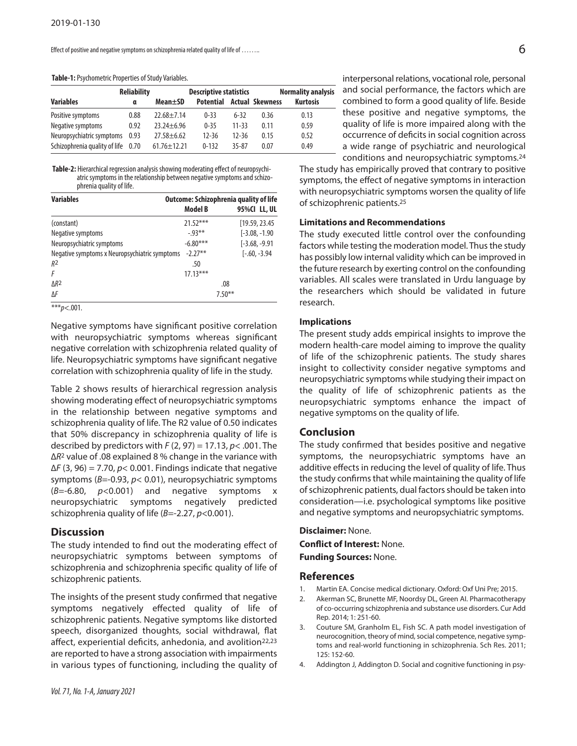Effect of positive and negative symptoms on schizophrenia related quality of life of ........

#### Table-1: Psychometric Properties of Study Variables.

|                                    | <b>Reliability</b> | <b>Descriptive statistics</b> |                  |         | <b>Normality analysis</b> |                 |
|------------------------------------|--------------------|-------------------------------|------------------|---------|---------------------------|-----------------|
| <b>Variables</b>                   | α                  | Mean±SD                       | <b>Potential</b> |         | <b>Actual Skewness</b>    | <b>Kurtosis</b> |
| Positive symptoms                  | 0.88               | $22.68 + 7.14$                | $0 - 33$         | $6-32$  | 0.36                      | 0.13            |
| Negative symptoms                  | 0.92               | $23.24 + 6.96$                | $0 - 35$         | 11-33   | 0.11                      | 0.59            |
| Neuropsychiatric symptoms 0.93     |                    | $27.58 + 6.62$                | $12 - 36$        | $12-36$ | 0.15                      | 0.52            |
| Schizophrenia quality of life 0.70 |                    | $61.76 \pm 12.21$             | $0 - 132$        | 35-87   | 0.07                      | 0.49            |

Table-2: Hierarchical regression analysis showing moderating effect of neuropsychiatric symptoms in the relationship between negative symptoms and schizophrenia quality of life.

| <b>Outcome: Schizophrenia quality of life</b>              |                  |  |  |  |
|------------------------------------------------------------|------------------|--|--|--|
|                                                            | 95%CI LL, UL     |  |  |  |
| $21.52***$                                                 | [19.59, 23.45]   |  |  |  |
| $-0.93**$                                                  | $[-3.08, -1.90]$ |  |  |  |
| $-6.80***$                                                 | $[-3.68, -9.91]$ |  |  |  |
| $-2.27**$<br>Negative symptoms x Neuropsychiatric symptoms | $[-.60, -3.94]$  |  |  |  |
| .50                                                        |                  |  |  |  |
| $17.13***$                                                 |                  |  |  |  |
|                                                            | .08              |  |  |  |
|                                                            | $7.50***$        |  |  |  |
|                                                            | <b>Model B</b>   |  |  |  |

\*\*\**p*<.001.

Negative symptoms have significant positive correlation with neuropsychiatric symptoms whereas significant negative correlation with schizophrenia related quality of life. Neuropsychiatric symptoms have significant negative correlation with schizophrenia quality of life in the study.

Table 2 shows results of hierarchical regression analysis showing moderating effect of neuropsychiatric symptoms in the relationship between negative symptoms and schizophrenia quality of life. The R2 value of 0.50 indicates that 50% discrepancy in schizophrenia quality of life is described by predictors with *F* (2, 97) = 17.13, *p*< .001. The ∆*R*<sup>2</sup> value of .08 explained 8 % change in the variance with ∆*F* (3, 96) = 7.70, *p*< 0.001. Findings indicate that negative symptoms (*B*=-0.93, *p*< 0.01), neuropsychiatric symptoms (*B*=-6.80, *p*<0.001) and negative symptoms x neuropsychiatric symptoms negatively predicted schizophrenia quality of life (*B*=-2.27, *p*<0.001).

#### **Discussion**

The study intended to find out the moderating effect of neuropsychiatric symptoms between symptoms of schizophrenia and schizophrenia specific quality of life of schizophrenic patients.

The insights of the present study confirmed that negative symptoms negatively effected quality of life of schizophrenic patients. Negative symptoms like distorted speech, disorganized thoughts, social withdrawal, flat affect, experiential deficits, anhedonia, and avolition<sup>22,23</sup> are reported to have a strong association with impairments in various types of functioning, including the quality of interpersonal relations, vocational role, personal and social performance, the factors which are combined to form a good quality of life. Beside these positive and negative symptoms, the quality of life is more impaired along with the occurrence of deficits in social cognition across a wide range of psychiatric and neurological conditions and neuropsychiatric symptoms.24

The study has empirically proved that contrary to positive symptoms, the effect of negative symptoms in interaction with neuropsychiatric symptoms worsen the quality of life of schizophrenic patients. 25

## **Limitations and Recommendations**

The study executed little control over the confounding factors while testing the moderation model. Thus the study has possibly low internal validity which can be improved in the future research by exerting control on the confounding variables. All scales were translated in Urdu language by the researchers which should be validated in future research.

#### **Implications**

The present study adds empirical insights to improve the modern health-care model aiming to improve the quality of life of the schizophrenic patients. The study shares insight to collectivity consider negative symptoms and neuropsychiatric symptoms while studying their impact on the quality of life of schizophrenic patients as the neuropsychiatric symptoms enhance the impact of negative symptoms on the quality of life.

#### **Conclusion**

The study confirmed that besides positive and negative symptoms, the neuropsychiatric symptoms have an additive effects in reducing the level of quality of life. Thus the study confirms that while maintaining the quality of life of schizophrenic patients, dual factors should be taken into consideration—i.e. psychological symptoms like positive and negative symptoms and neuropsychiatric symptoms.

# **Disclaimer:** None. **Conflict of Interest:** None. **Funding Sources:** None.

#### **References**

- 1. Martin EA. Concise medical dictionary. Oxford: Oxf Uni Pre; 2015.
- 2. Akerman SC, Brunette MF, Noordsy DL, Green AI. Pharmacotherapy of co-occurring schizophrenia and substance use disorders. Cur Add Rep. 2014; 1: 251-60.
- 3. Couture SM, Granholm EL, Fish SC. A path model investigation of neurocognition, theory of mind, social competence, negative symptoms and real-world functioning in schizophrenia. Sch Res. 2011; 125: 152-60.
- 4. Addington J, Addington D. Social and cognitive functioning in psy-